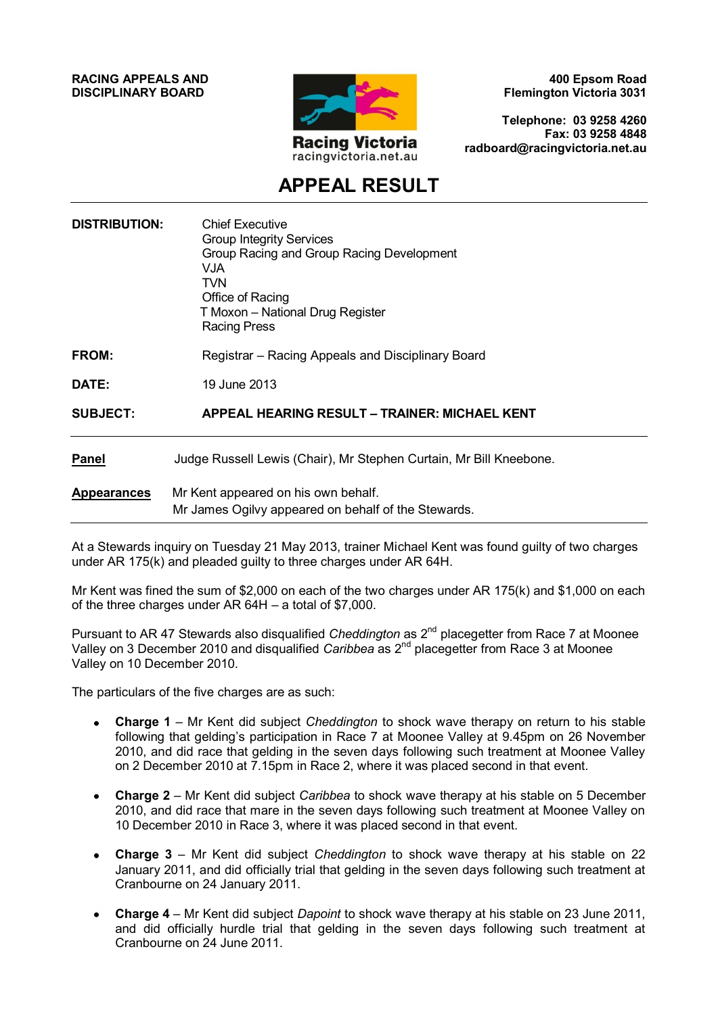**RACING APPEALS AND DISCIPLINARY BOARD**



**400 Epsom Road Flemington Victoria 3031**

**Telephone: 03 9258 4260 Fax: 03 9258 4848 radboard@racingvictoria.net.au**

## **APPEAL RESULT**

| <b>DISTRIBUTION:</b> | <b>Chief Executive</b><br><b>Group Integrity Services</b><br>Group Racing and Group Racing Development<br>VJA.<br><b>TVN</b><br>Office of Racing<br>T Moxon - National Drug Register<br><b>Racing Press</b> |
|----------------------|-------------------------------------------------------------------------------------------------------------------------------------------------------------------------------------------------------------|
| FROM:                | Registrar – Racing Appeals and Disciplinary Board                                                                                                                                                           |
| DATE:                | 19 June 2013                                                                                                                                                                                                |
| <b>SUBJECT:</b>      | <b>APPEAL HEARING RESULT - TRAINER: MICHAEL KENT</b>                                                                                                                                                        |
| <b>Panel</b>         | Judge Russell Lewis (Chair), Mr Stephen Curtain, Mr Bill Kneebone.                                                                                                                                          |
| <b>Appearances</b>   | Mr Kent appeared on his own behalf.<br>Mr James Ogilvy appeared on behalf of the Stewards.                                                                                                                  |

At a Stewards inquiry on Tuesday 21 May 2013, trainer Michael Kent was found guilty of two charges under AR 175(k) and pleaded guilty to three charges under AR 64H.

Mr Kent was fined the sum of \$2,000 on each of the two charges under AR 175(k) and \$1,000 on each of the three charges under AR 64H – a total of \$7,000.

Pursuant to AR 47 Stewards also disqualified *Cheddington* as 2<sup>nd</sup> placegetter from Race 7 at Moonee Valley on 3 December 2010 and disqualified *Caribbea* as 2nd placegetter from Race 3 at Moonee Valley on 10 December 2010.

The particulars of the five charges are as such:

- **Charge 1** Mr Kent did subject *Cheddington* to shock wave therapy on return to his stable following that gelding's participation in Race 7 at Moonee Valley at 9.45pm on 26 November 2010, and did race that gelding in the seven days following such treatment at Moonee Valley on 2 December 2010 at 7.15pm in Race 2, where it was placed second in that event.
- **Charge 2**  Mr Kent did subject *Caribbea* to shock wave therapy at his stable on 5 December  $\bullet$ 2010, and did race that mare in the seven days following such treatment at Moonee Valley on 10 December 2010 in Race 3, where it was placed second in that event.
- **Charge 3**  Mr Kent did subject *Cheddington* to shock wave therapy at his stable on 22 January 2011, and did officially trial that gelding in the seven days following such treatment at Cranbourne on 24 January 2011.
- $\bullet$ **Charge 4** – Mr Kent did subject *Dapoint* to shock wave therapy at his stable on 23 June 2011, and did officially hurdle trial that gelding in the seven days following such treatment at Cranbourne on 24 June 2011.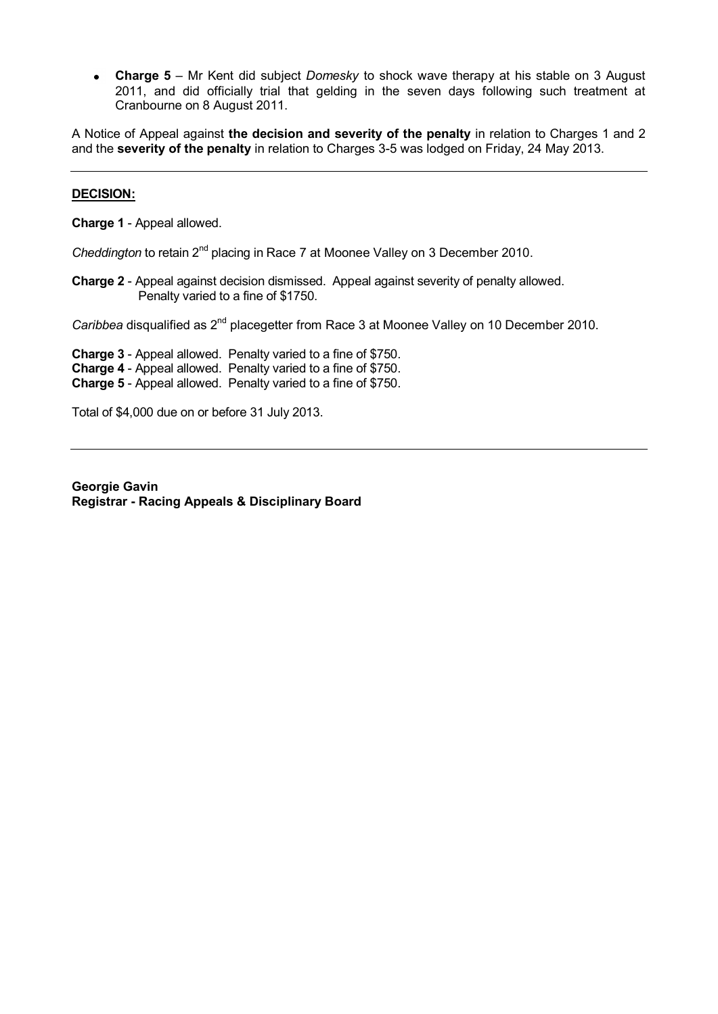**Charge 5** – Mr Kent did subject *Domesky* to shock wave therapy at his stable on 3 August 2011, and did officially trial that gelding in the seven days following such treatment at Cranbourne on 8 August 2011.

A Notice of Appeal against **the decision and severity of the penalty** in relation to Charges 1 and 2 and the **severity of the penalty** in relation to Charges 3-5 was lodged on Friday, 24 May 2013.

## **DECISION:**

**Charge 1** - Appeal allowed.

*Cheddington* to retain 2<sup>nd</sup> placing in Race 7 at Moonee Valley on 3 December 2010.

**Charge 2** - Appeal against decision dismissed. Appeal against severity of penalty allowed. Penalty varied to a fine of \$1750.

*Caribbea* disqualified as 2<sup>nd</sup> placegetter from Race 3 at Moonee Valley on 10 December 2010.

**Charge 3** - Appeal allowed. Penalty varied to a fine of \$750. **Charge 4** - Appeal allowed. Penalty varied to a fine of \$750. **Charge 5** - Appeal allowed. Penalty varied to a fine of \$750.

Total of \$4,000 due on or before 31 July 2013.

**Georgie Gavin Registrar - Racing Appeals & Disciplinary Board**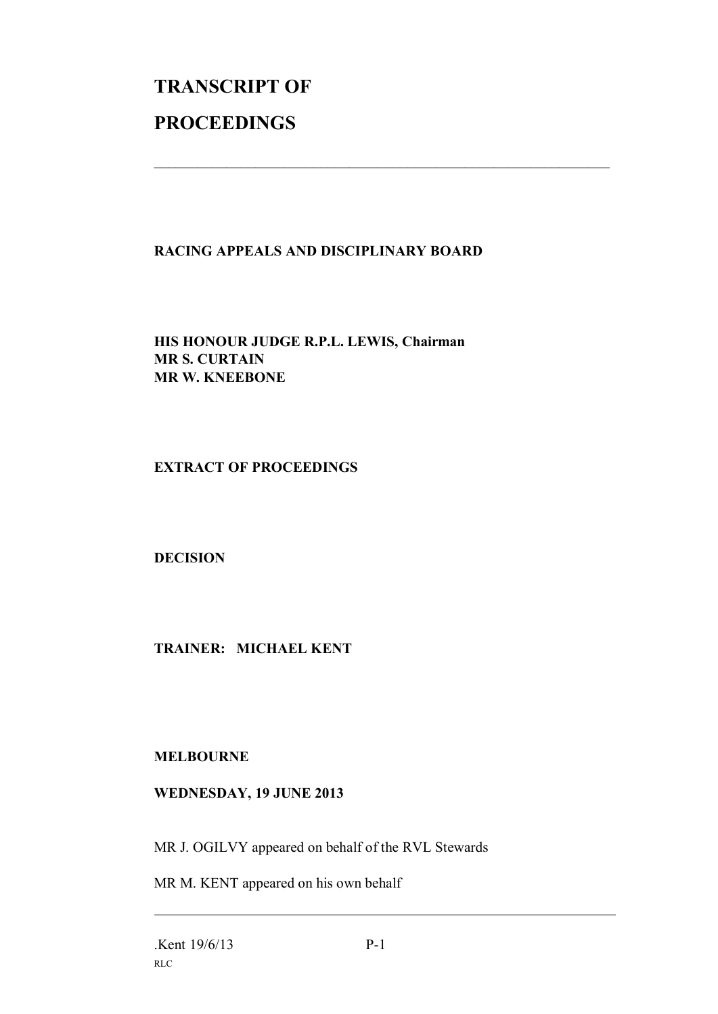## **TRANSCRIPT OF PROCEEDINGS**

## **RACING APPEALS AND DISCIPLINARY BOARD**

 $\mathcal{L}_\text{max}$  , and the contribution of the contribution of the contribution of the contribution of the contribution of the contribution of the contribution of the contribution of the contribution of the contribution of t

**HIS HONOUR JUDGE R.P.L. LEWIS, Chairman MR S. CURTAIN MR W. KNEEBONE**

**EXTRACT OF PROCEEDINGS**

**DECISION**

**TRAINER: MICHAEL KENT**

**MELBOURNE**

**WEDNESDAY, 19 JUNE 2013**

MR J. OGILVY appeared on behalf of the RVL Stewards

MR M. KENT appeared on his own behalf